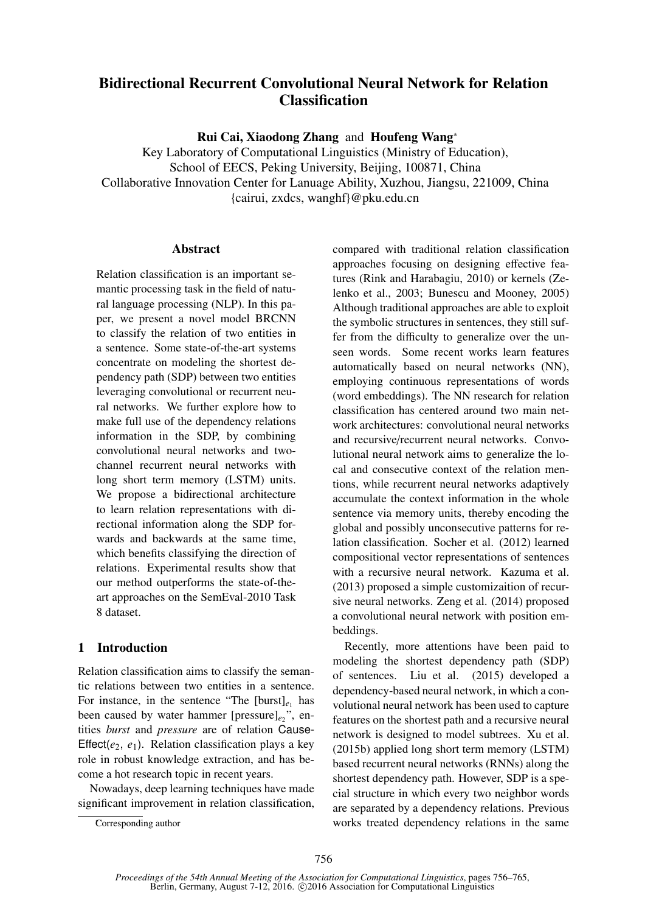# Bidirectional Recurrent Convolutional Neural Network for Relation **Classification**

Rui Cai, Xiaodong Zhang and Houfeng Wang<sup>∗</sup>

Key Laboratory of Computational Linguistics (Ministry of Education), School of EECS, Peking University, Beijing, 100871, China Collaborative Innovation Center for Lanuage Ability, Xuzhou, Jiangsu, 221009, China {cairui, zxdcs, wanghf}@pku.edu.cn

# **Abstract**

Relation classification is an important semantic processing task in the field of natural language processing (NLP). In this paper, we present a novel model BRCNN to classify the relation of two entities in a sentence. Some state-of-the-art systems concentrate on modeling the shortest dependency path (SDP) between two entities leveraging convolutional or recurrent neural networks. We further explore how to make full use of the dependency relations information in the SDP, by combining convolutional neural networks and twochannel recurrent neural networks with long short term memory (LSTM) units. We propose a bidirectional architecture to learn relation representations with directional information along the SDP forwards and backwards at the same time, which benefits classifying the direction of relations. Experimental results show that our method outperforms the state-of-theart approaches on the SemEval-2010 Task 8 dataset.

# 1 Introduction

Relation classification aims to classify the semantic relations between two entities in a sentence. For instance, in the sentence "The  $[burst]_{e_1}$  has been caused by water hammer [pressure]<sub>e2</sub>", entities *burst* and *pressure* are of relation Cause-Effect $(e_2, e_1)$ . Relation classification plays a key role in robust knowledge extraction, and has become a hot research topic in recent years.

Nowadays, deep learning techniques have made significant improvement in relation classification,

compared with traditional relation classification approaches focusing on designing effective features (Rink and Harabagiu, 2010) or kernels (Zelenko et al., 2003; Bunescu and Mooney, 2005) Although traditional approaches are able to exploit the symbolic structures in sentences, they still suffer from the difficulty to generalize over the unseen words. Some recent works learn features automatically based on neural networks (NN), employing continuous representations of words (word embeddings). The NN research for relation classification has centered around two main network architectures: convolutional neural networks and recursive/recurrent neural networks. Convolutional neural network aims to generalize the local and consecutive context of the relation mentions, while recurrent neural networks adaptively accumulate the context information in the whole sentence via memory units, thereby encoding the global and possibly unconsecutive patterns for relation classification. Socher et al. (2012) learned compositional vector representations of sentences with a recursive neural network. Kazuma et al. (2013) proposed a simple customizaition of recursive neural networks. Zeng et al. (2014) proposed a convolutional neural network with position embeddings.

Recently, more attentions have been paid to modeling the shortest dependency path (SDP) of sentences. Liu et al. (2015) developed a dependency-based neural network, in which a convolutional neural network has been used to capture features on the shortest path and a recursive neural network is designed to model subtrees. Xu et al. (2015b) applied long short term memory (LSTM) based recurrent neural networks (RNNs) along the shortest dependency path. However, SDP is a special structure in which every two neighbor words are separated by a dependency relations. Previous works treated dependency relations in the same

Corresponding author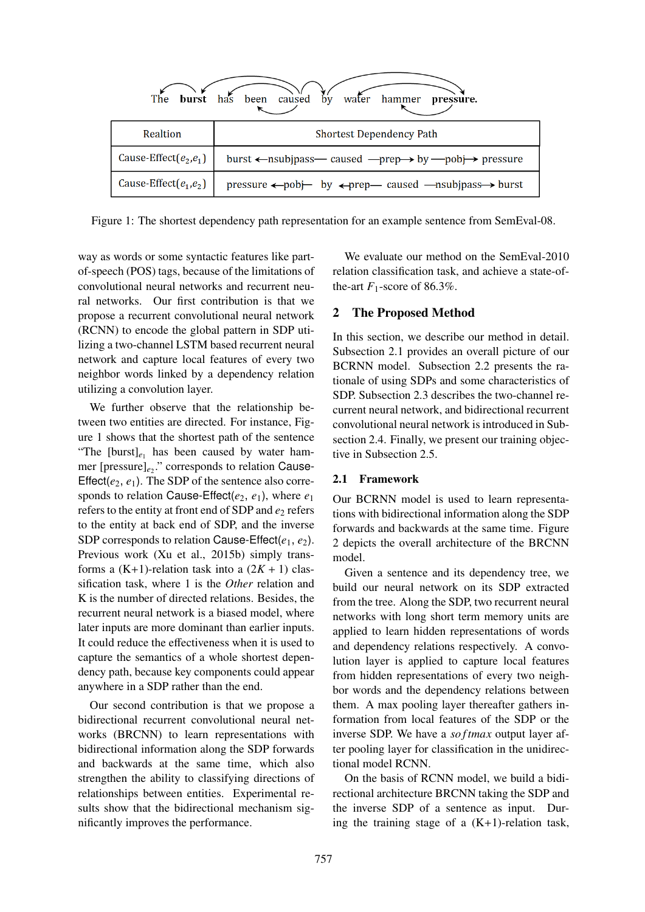

Figure 1: The shortest dependency path representation for an example sentence from SemEval-08.

way as words or some syntactic features like partof-speech (POS) tags, because of the limitations of convolutional neural networks and recurrent neural networks. Our first contribution is that we propose a recurrent convolutional neural network (RCNN) to encode the global pattern in SDP utilizing a two-channel LSTM based recurrent neural network and capture local features of every two neighbor words linked by a dependency relation utilizing a convolution layer.

We further observe that the relationship between two entities are directed. For instance, Figure 1 shows that the shortest path of the sentence "The  $[burst]_{e_1}$  has been caused by water hammer [pressure]<sub>e2</sub>." corresponds to relation Cause-Effect( $e_2$ ,  $e_1$ ). The SDP of the sentence also corresponds to relation Cause-Effect( $e_2$ ,  $e_1$ ), where  $e_1$ refers to the entity at front end of SDP and  $e_2$  refers to the entity at back end of SDP, and the inverse SDP corresponds to relation Cause-Effect( $e_1, e_2$ ). Previous work (Xu et al., 2015b) simply transforms a  $(K+1)$ -relation task into a  $(2K + 1)$  classification task, where 1 is the *Other* relation and K is the number of directed relations. Besides, the recurrent neural network is a biased model, where later inputs are more dominant than earlier inputs. It could reduce the effectiveness when it is used to capture the semantics of a whole shortest dependency path, because key components could appear anywhere in a SDP rather than the end.

Our second contribution is that we propose a bidirectional recurrent convolutional neural networks (BRCNN) to learn representations with bidirectional information along the SDP forwards and backwards at the same time, which also strengthen the ability to classifying directions of relationships between entities. Experimental results show that the bidirectional mechanism significantly improves the performance.

We evaluate our method on the SemEval-2010 relation classification task, and achieve a state-ofthe-art  $F_1$ -score of 86.3%.

# 2 The Proposed Method

In this section, we describe our method in detail. Subsection 2.1 provides an overall picture of our BCRNN model. Subsection 2.2 presents the rationale of using SDPs and some characteristics of SDP. Subsection 2.3 describes the two-channel recurrent neural network, and bidirectional recurrent convolutional neural network is introduced in Subsection 2.4. Finally, we present our training objective in Subsection 2.5.

# 2.1 Framework

Our BCRNN model is used to learn representations with bidirectional information along the SDP forwards and backwards at the same time. Figure 2 depicts the overall architecture of the BRCNN model.

Given a sentence and its dependency tree, we build our neural network on its SDP extracted from the tree. Along the SDP, two recurrent neural networks with long short term memory units are applied to learn hidden representations of words and dependency relations respectively. A convolution layer is applied to capture local features from hidden representations of every two neighbor words and the dependency relations between them. A max pooling layer thereafter gathers information from local features of the SDP or the inverse SDP. We have a *softmax* output layer after pooling layer for classification in the unidirectional model RCNN.

On the basis of RCNN model, we build a bidirectional architecture BRCNN taking the SDP and the inverse SDP of a sentence as input. During the training stage of a  $(K+1)$ -relation task,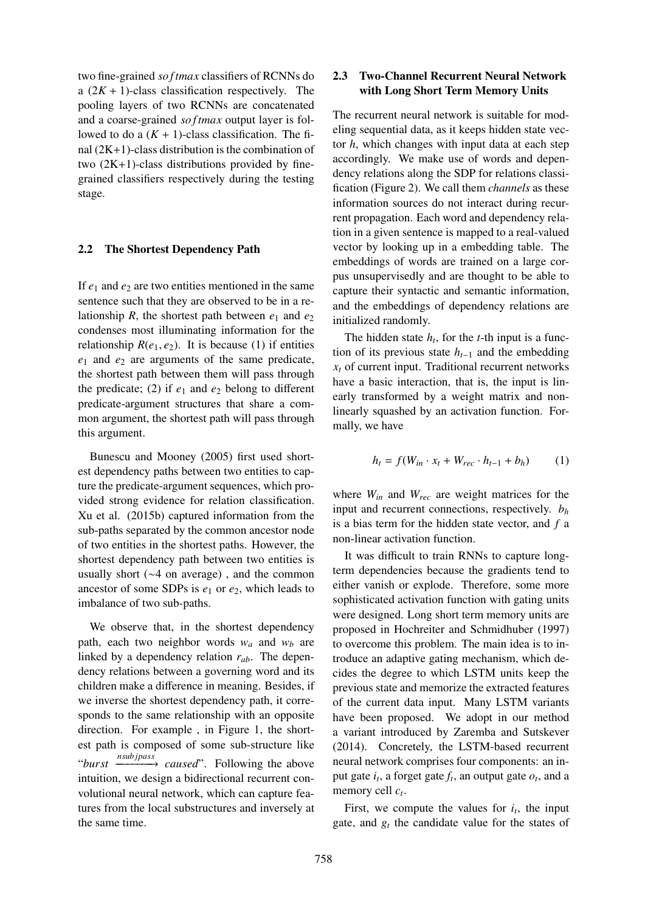two fine-grained *so f tmax* classifiers of RCNNs do a  $(2K + 1)$ -class classification respectively. The pooling layers of two RCNNs are concatenated and a coarse-grained *softmax* output layer is followed to do a  $(K + 1)$ -class classification. The final  $(2K+1)$ -class distribution is the combination of two  $(2K+1)$ -class distributions provided by finegrained classifiers respectively during the testing stage.

#### 2.2 The Shortest Dependency Path

If  $e_1$  and  $e_2$  are two entities mentioned in the same sentence such that they are observed to be in a relationship *R*, the shortest path between  $e_1$  and  $e_2$ condenses most illuminating information for the relationship  $R(e_1, e_2)$ . It is because (1) if entities *e*<sup>1</sup> and *e*<sup>2</sup> are arguments of the same predicate, the shortest path between them will pass through the predicate; (2) if  $e_1$  and  $e_2$  belong to different predicate-argument structures that share a common argument, the shortest path will pass through this argument.

Bunescu and Mooney (2005) first used shortest dependency paths between two entities to capture the predicate-argument sequences, which provided strong evidence for relation classification. Xu et al. (2015b) captured information from the sub-paths separated by the common ancestor node of two entities in the shortest paths. However, the shortest dependency path between two entities is usually short (∼4 on average) , and the common ancestor of some SDPs is  $e_1$  or  $e_2$ , which leads to imbalance of two sub-paths.

We observe that, in the shortest dependency path, each two neighbor words  $w_a$  and  $w_b$  are linked by a dependency relation *rab*. The dependency relations between a governing word and its children make a difference in meaning. Besides, if we inverse the shortest dependency path, it corresponds to the same relationship with an opposite direction. For example , in Figure 1, the shortest path is composed of some sub-structure like "*burst nsub jpass* −−−−−−−−→ *caused*". Following the above intuition, we design a bidirectional recurrent convolutional neural network, which can capture features from the local substructures and inversely at the same time.

# 2.3 Two-Channel Recurrent Neural Network with Long Short Term Memory Units

The recurrent neural network is suitable for modeling sequential data, as it keeps hidden state vector *h*, which changes with input data at each step accordingly. We make use of words and dependency relations along the SDP for relations classification (Figure 2). We call them *channels* as these information sources do not interact during recurrent propagation. Each word and dependency relation in a given sentence is mapped to a real-valued vector by looking up in a embedding table. The embeddings of words are trained on a large corpus unsupervisedly and are thought to be able to capture their syntactic and semantic information, and the embeddings of dependency relations are initialized randomly.

The hidden state  $h_t$ , for the *t*-th input is a function of its previous state  $h_{t-1}$  and the embedding  $x_t$  of current input. Traditional recurrent networks have a basic interaction, that is, the input is linearly transformed by a weight matrix and nonlinearly squashed by an activation function. Formally, we have

$$
h_t = f(W_{in} \cdot x_t + W_{rec} \cdot h_{t-1} + b_h)
$$
 (1)

where *Win* and *Wrec* are weight matrices for the input and recurrent connections, respectively. *b<sup>h</sup>* is a bias term for the hidden state vector, and *f* a non-linear activation function.

It was difficult to train RNNs to capture longterm dependencies because the gradients tend to either vanish or explode. Therefore, some more sophisticated activation function with gating units were designed. Long short term memory units are proposed in Hochreiter and Schmidhuber (1997) to overcome this problem. The main idea is to introduce an adaptive gating mechanism, which decides the degree to which LSTM units keep the previous state and memorize the extracted features of the current data input. Many LSTM variants have been proposed. We adopt in our method a variant introduced by Zaremba and Sutskever (2014). Concretely, the LSTM-based recurrent neural network comprises four components: an input gate  $i_t$ , a forget gate  $f_t$ , an output gate  $o_t$ , and a memory cell *c<sup>t</sup>* .

First, we compute the values for  $i_t$ , the input gate, and  $g_t$  the candidate value for the states of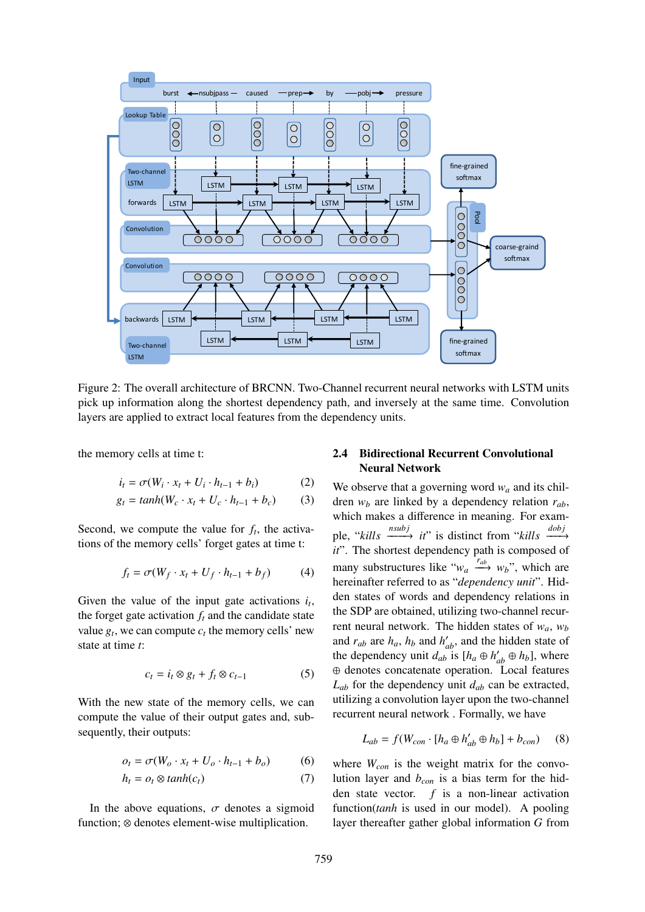

Figure 2: The overall architecture of BRCNN. Two-Channel recurrent neural networks with LSTM units pick up information along the shortest dependency path, and inversely at the same time. Convolution layers are applied to extract local features from the dependency units.

the memory cells at time t:

$$
i_t = \sigma(W_i \cdot x_t + U_i \cdot h_{t-1} + b_i)
$$
 (2)

$$
g_t = \tanh(W_c \cdot x_t + U_c \cdot h_{t-1} + b_c) \tag{3}
$$

Second, we compute the value for  $f_t$ , the activations of the memory cells' forget gates at time t:

$$
f_t = \sigma(W_f \cdot x_t + U_f \cdot h_{t-1} + b_f)
$$
 (4)

Given the value of the input gate activations  $i_t$ , the forget gate activation  $f_t$  and the candidate state value  $g_t$ , we can compute  $c_t$  the memory cells' new state at time *t*:

$$
c_t = i_t \otimes g_t + f_t \otimes c_{t-1} \tag{5}
$$

With the new state of the memory cells, we can compute the value of their output gates and, subsequently, their outputs:

$$
o_t = \sigma(W_o \cdot x_t + U_o \cdot h_{t-1} + b_o) \tag{6}
$$

$$
h_t = o_t \otimes \tanh(c_t) \tag{7}
$$

In the above equations,  $\sigma$  denotes a sigmoid function; ⊗ denotes element-wise multiplication.

# 2.4 Bidirectional Recurrent Convolutional Neural Network

We observe that a governing word  $w_a$  and its children  $w_b$  are linked by a dependency relation  $r_{ab}$ , which makes a difference in meaning. For example, "*kills*  $\xrightarrow{nsubj}$  *it*" is distinct from "*kills*  $\xrightarrow{dobj}$ *it*". The shortest dependency path is composed of many substructures like " $w_a \xrightarrow{r_{ab}} w_b$ ", which are hereinafter referred to as "*dependency unit*". Hidden states of words and dependency relations in the SDP are obtained, utilizing two-channel recurrent neural network. The hidden states of  $w_a$ ,  $w_b$ and  $r_{ab}$  are  $h_a$ ,  $h_b$  and  $h'_{ab}$ , and the hidden state of the dependency unit  $d_{ab}$  is  $[h_a \oplus h'_{ab} \oplus h_b]$ , where ⊕ denotes concatenate operation. Local features *Lab* for the dependency unit *dab* can be extracted, utilizing a convolution layer upon the two-channel recurrent neural network . Formally, we have

$$
L_{ab} = f(W_{con} \cdot [h_a \oplus h'_{ab} \oplus h_b] + b_{con}) \qquad (8)
$$

where *Wcon* is the weight matrix for the convolution layer and *bcon* is a bias term for the hidden state vector. *f* is a non-linear activation function(*tanh* is used in our model). A pooling layer thereafter gather global information *G* from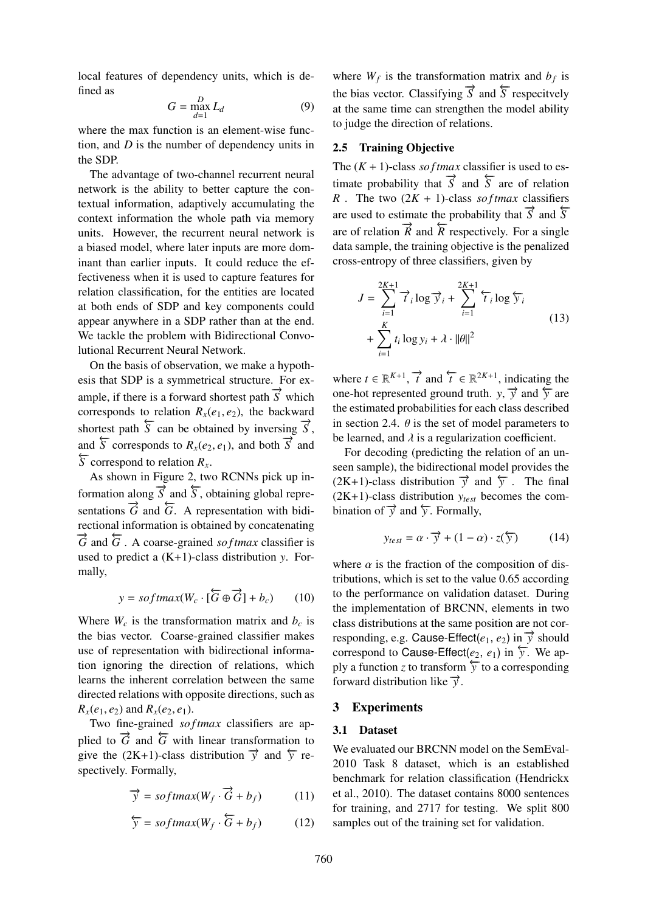local features of dependency units, which is defined as

$$
G = \max_{d=1}^{D} L_d \tag{9}
$$

where the max function is an element-wise function, and *D* is the number of dependency units in the SDP.

The advantage of two-channel recurrent neural network is the ability to better capture the contextual information, adaptively accumulating the context information the whole path via memory units. However, the recurrent neural network is a biased model, where later inputs are more dominant than earlier inputs. It could reduce the effectiveness when it is used to capture features for relation classification, for the entities are located at both ends of SDP and key components could appear anywhere in a SDP rather than at the end. We tackle the problem with Bidirectional Convolutional Recurrent Neural Network.

On the basis of observation, we make a hypothesis that SDP is a symmetrical structure. For example, if there is a forward shortest path  $\overrightarrow{S}$  which corresponds to relation  $R<sub>x</sub>(e<sub>1</sub>, e<sub>2</sub>)$ , the backward shortest path  $\overline{S}$  can be obtained by inversing  $\overrightarrow{S}$ , and  $\overrightarrow{S}$  corresponds to  $R_{\overline{Y}}(e_2, e_1)$ , and both  $\overrightarrow{S}$  and  $\overleftarrow{S}$  correspond to relation  $R_x$ .

As shown in Figure 2, two RCNNs pick up information along  $\overrightarrow{S}$  and  $\overleftarrow{S}$ , obtaining global representations  $\overrightarrow{G}$  and  $\overleftarrow{G}$ . A representation with bidirectional information is obtained by concatenating  $\overrightarrow{G}$  and  $\overleftarrow{G}$ . A coarse-grained *so f tmax* classifier is used to predict a (K+1)-class distribution *y*. Formally,

$$
y = softmax(W_c \cdot [\overleftrightarrow{G} \oplus \overrightarrow{G}] + b_c)
$$
 (10)

Where  $W_c$  is the transformation matrix and  $b_c$  is the bias vector. Coarse-grained classifier makes use of representation with bidirectional information ignoring the direction of relations, which learns the inherent correlation between the same directed relations with opposite directions, such as  $R_{x}(e_1, e_2)$  and  $R_{x}(e_2, e_1)$ .

Two fine-grained *softmax* classifiers are applied to  $\vec{G}$  and  $\vec{G}$  with linear transformation to give the (2K+1)-class distribution  $\vec{v}$  and  $\vec{v}$  respectively. Formally,

$$
\overrightarrow{y} = softmax(W_f \cdot \overrightarrow{G} + b_f)
$$
 (11)

$$
\overleftarrow{y} = softmax(W_f \cdot \overleftarrow{G} + b_f)
$$
 (12)

where  $W_f$  is the transformation matrix and  $b_f$  is the bias vector. Classifying  $\vec{S}$  and  $\vec{S}$  respecitvely at the same time can strengthen the model ability to judge the direction of relations.

# 2.5 Training Objective

The  $(K + 1)$ -class *so f tmax* classifier is used to estimate probability that  $\vec{S}$  and  $\vec{S}$  are of relation *R* . The two  $(2K + 1)$ -class *softmax* classifiers are used to estimate the probability that  $\overrightarrow{S}$  and  $\overleftarrow{S}$ are of relation  $\overrightarrow{R}$  and  $\overrightarrow{R}$  respectively. For a single data sample, the training objective is the penalized cross-entropy of three classifiers, given by

$$
J = \sum_{i=1}^{2K+1} \overrightarrow{t}_i \log \overrightarrow{y}_i + \sum_{i=1}^{2K+1} \overleftarrow{t}_i \log \overleftarrow{y}_i
$$
  
+ 
$$
\sum_{i=1}^{K} t_i \log y_i + \lambda \cdot ||\theta||^2
$$
 (13)

where  $t \in \mathbb{R}^{K+1}$ ,  $\overrightarrow{t}$  and  $\overleftarrow{t} \in \mathbb{R}^{2K+1}$ , indicating the one-hot represented ground truth. *y*,  $\vec{y}$  and  $\vec{y}$  are the estimated probabilities for each class described in section 2.4.  $\theta$  is the set of model parameters to be learned, and  $\lambda$  is a regularization coefficient.

For decoding (predicting the relation of an unseen sample), the bidirectional model provides the  $(2K+1)$ -class distribution  $\overrightarrow{y}$  and  $\overleftarrow{y}$ . The final (2K+1)-class distribution *ytest* becomes the combination of  $\vec{y}$  and  $\vec{y}$ . Formally,

$$
y_{test} = \alpha \cdot \overrightarrow{y} + (1 - \alpha) \cdot z(\overleftarrow{y})
$$
 (14)

where  $\alpha$  is the fraction of the composition of distributions, which is set to the value 0.65 according to the performance on validation dataset. During the implementation of BRCNN, elements in two class distributions at the same position are not corresponding, e.g. Cause-Effect $(e_1, e_2)$  in  $\overrightarrow{v}$  should correspond to Cause-Effect(*e*<sub>2</sub>, *e*<sub>1</sub>) in  $\overleftarrow{y}$ . We apply a function *z* to transform  $\overleftarrow{y}$  to a corresponding forward distribution like  $\vec{\nu}$ .

#### 3 Experiments

#### 3.1 Dataset

We evaluated our BRCNN model on the SemEval-2010 Task 8 dataset, which is an established benchmark for relation classification (Hendrickx et al., 2010). The dataset contains 8000 sentences for training, and 2717 for testing. We split 800 samples out of the training set for validation.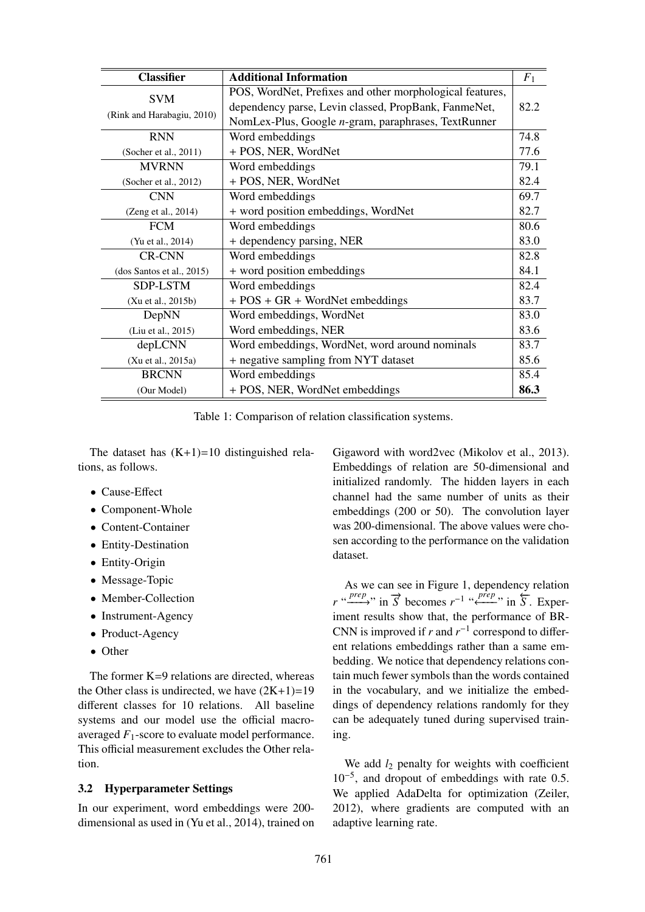| <b>Classifier</b>          | <b>Additional Information</b>                            | $F_1$ |
|----------------------------|----------------------------------------------------------|-------|
| <b>SVM</b>                 | POS, WordNet, Prefixes and other morphological features, |       |
|                            | dependency parse, Levin classed, PropBank, FanmeNet,     | 82.2  |
| (Rink and Harabagiu, 2010) | NomLex-Plus, Google n-gram, paraphrases, TextRunner      |       |
| <b>RNN</b>                 | Word embeddings                                          | 74.8  |
| (Socher et al., 2011)      | + POS, NER, WordNet                                      | 77.6  |
| <b>MVRNN</b>               | Word embeddings                                          | 79.1  |
| (Socher et al., 2012)      | + POS, NER, WordNet                                      | 82.4  |
| <b>CNN</b>                 | Word embeddings                                          | 69.7  |
| (Zeng et al., 2014)        | + word position embeddings, WordNet                      | 82.7  |
| <b>FCM</b>                 | Word embeddings                                          | 80.6  |
| (Yu et al., 2014)          | + dependency parsing, NER                                | 83.0  |
| <b>CR-CNN</b>              | Word embeddings                                          | 82.8  |
| (dos Santos et al., 2015)  | + word position embeddings                               | 84.1  |
| SDP-LSTM                   | Word embeddings                                          | 82.4  |
| (Xu et al., 2015b)         | $+ POS + GR + WordNet embeddings$                        | 83.7  |
| DepNN                      | Word embeddings, WordNet                                 | 83.0  |
| (Liu et al., 2015)         | Word embeddings, NER                                     | 83.6  |
| depLCNN                    | Word embeddings, WordNet, word around nominals           | 83.7  |
| (Xu et al., 2015a)         | + negative sampling from NYT dataset                     | 85.6  |
| <b>BRCNN</b>               | Word embeddings                                          | 85.4  |
| (Our Model)                | + POS, NER, WordNet embeddings                           | 86.3  |

Table 1: Comparison of relation classification systems.

The dataset has  $(K+1)=10$  distinguished relations, as follows.

- Cause-Effect
- Component-Whole
- Content-Container
- Entity-Destination
- Entity-Origin
- Message-Topic
- Member-Collection
- Instrument-Agency
- Product-Agency
- Other

The former  $K=9$  relations are directed, whereas the Other class is undirected, we have  $(2K+1)=19$ different classes for 10 relations. All baseline systems and our model use the official macroaveraged *F*1-score to evaluate model performance. This official measurement excludes the Other relation.

# 3.2 Hyperparameter Settings

In our experiment, word embeddings were 200 dimensional as used in (Yu et al., 2014), trained on

Gigaword with word2vec (Mikolov et al., 2013). Embeddings of relation are 50-dimensional and initialized randomly. The hidden layers in each channel had the same number of units as their embeddings (200 or 50). The convolution layer was 200-dimensional. The above values were chosen according to the performance on the validation dataset.

As we can see in Figure 1, dependency relation *r* "*prep*" in  $\overline{S}$  becomes  $r^{-1}$  "  $\overline{S}$ " in  $\overline{S}$ . Experiment results show that, the performance of BR-CNN is improved if *r* and  $r^{-1}$  correspond to different relations embeddings rather than a same embedding. We notice that dependency relations contain much fewer symbols than the words contained in the vocabulary, and we initialize the embeddings of dependency relations randomly for they can be adequately tuned during supervised training.

We add  $l_2$  penalty for weights with coefficient 10−<sup>5</sup> , and dropout of embeddings with rate 0.5. We applied AdaDelta for optimization (Zeiler, 2012), where gradients are computed with an adaptive learning rate.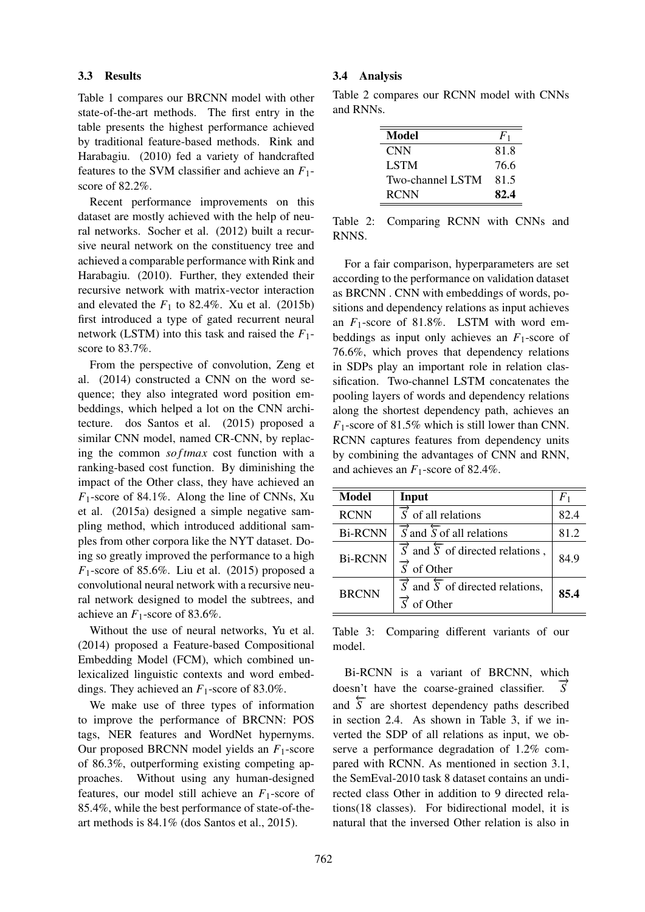#### 3.3 Results

Table 1 compares our BRCNN model with other state-of-the-art methods. The first entry in the table presents the highest performance achieved by traditional feature-based methods. Rink and Harabagiu. (2010) fed a variety of handcrafted features to the SVM classifier and achieve an *F*1 score of 82.2%.

Recent performance improvements on this dataset are mostly achieved with the help of neural networks. Socher et al. (2012) built a recursive neural network on the constituency tree and achieved a comparable performance with Rink and Harabagiu. (2010). Further, they extended their recursive network with matrix-vector interaction and elevated the  $F_1$  to 82.4%. Xu et al. (2015b) first introduced a type of gated recurrent neural network (LSTM) into this task and raised the  $F_1$ score to 83.7%.

From the perspective of convolution, Zeng et al. (2014) constructed a CNN on the word sequence; they also integrated word position embeddings, which helped a lot on the CNN architecture. dos Santos et al. (2015) proposed a similar CNN model, named CR-CNN, by replacing the common *so f tmax* cost function with a ranking-based cost function. By diminishing the impact of the Other class, they have achieved an *F*1-score of 84.1%. Along the line of CNNs, Xu et al. (2015a) designed a simple negative sampling method, which introduced additional samples from other corpora like the NYT dataset. Doing so greatly improved the performance to a high  $F_1$ -score of 85.6%. Liu et al. (2015) proposed a convolutional neural network with a recursive neural network designed to model the subtrees, and achieve an  $F_1$ -score of 83.6%.

Without the use of neural networks, Yu et al. (2014) proposed a Feature-based Compositional Embedding Model (FCM), which combined unlexicalized linguistic contexts and word embeddings. They achieved an *F*1-score of 83.0%.

We make use of three types of information to improve the performance of BRCNN: POS tags, NER features and WordNet hypernyms. Our proposed BRCNN model yields an *F*1-score of 86.3%, outperforming existing competing approaches. Without using any human-designed features, our model still achieve an *F*1-score of 85.4%, while the best performance of state-of-theart methods is 84.1% (dos Santos et al., 2015).

#### 3.4 Analysis

Table 2 compares our RCNN model with CNNs and RNNs.

| Model            | $F_{1}$ |
|------------------|---------|
| <b>CNN</b>       | 81.8    |
| <b>LSTM</b>      | 76.6    |
| Two-channel LSTM | 81.5    |
| <b>RCNN</b>      | 82.4    |

Table 2: Comparing RCNN with CNNs and RNNS.

For a fair comparison, hyperparameters are set according to the performance on validation dataset as BRCNN . CNN with embeddings of words, positions and dependency relations as input achieves an *F*1-score of 81.8%. LSTM with word embeddings as input only achieves an  $F_1$ -score of 76.6%, which proves that dependency relations in SDPs play an important role in relation classification. Two-channel LSTM concatenates the pooling layers of words and dependency relations along the shortest dependency path, achieves an *F*1-score of 81.5% which is still lower than CNN. RCNN captures features from dependency units by combining the advantages of CNN and RNN, and achieves an  $F_1$ -score of 82.4%.

| <b>Model</b>   | Input                                                                                                | $F_1$ |
|----------------|------------------------------------------------------------------------------------------------------|-------|
| <b>RCNN</b>    | $\overrightarrow{S}$ of all relations                                                                | 82.4  |
| <b>Bi-RCNN</b> | $\overrightarrow{S}$ and $\overleftarrow{S}$ of all relations                                        | 81.2  |
| <b>Bi-RCNN</b> | $\overrightarrow{S}$ and $\overleftarrow{S}$ of directed relations,<br>$\overrightarrow{S}$ of Other | 84.9  |
| <b>BRCNN</b>   | $\overrightarrow{S}$ and $\overleftarrow{S}$ of directed relations,<br>of Other                      | 85.4  |

Table 3: Comparing different variants of our model.

Bi-RCNN is a variant of BRCNN, which doesn't have the coarse-grained classifier.  $\vec{S}$ and  $\overline{S}$  are shortest dependency paths described in section 2.4. As shown in Table 3, if we inverted the SDP of all relations as input, we observe a performance degradation of 1.2% compared with RCNN. As mentioned in section 3.1, the SemEval-2010 task 8 dataset contains an undirected class Other in addition to 9 directed relations(18 classes). For bidirectional model, it is natural that the inversed Other relation is also in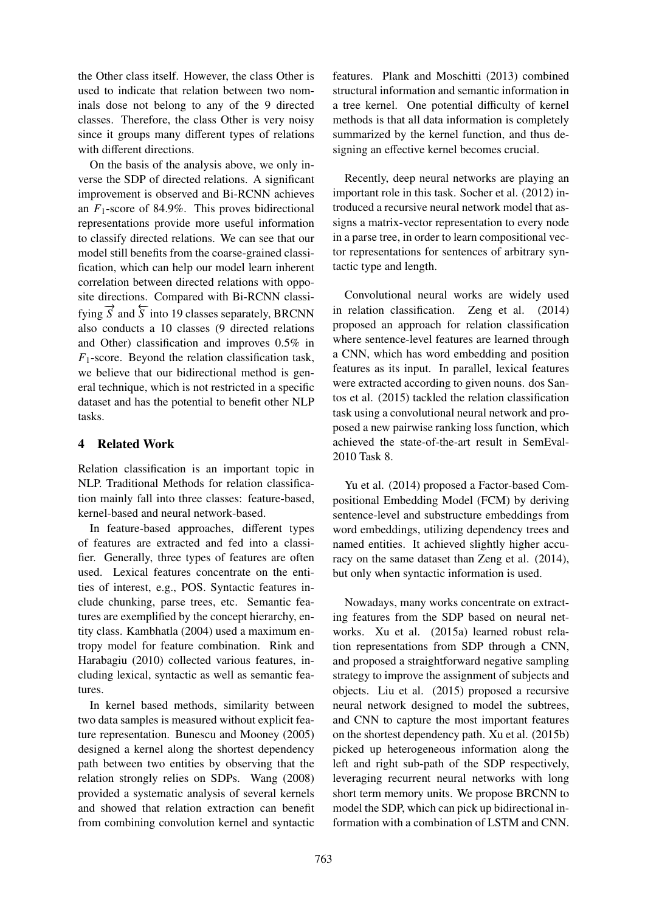the Other class itself. However, the class Other is used to indicate that relation between two nominals dose not belong to any of the 9 directed classes. Therefore, the class Other is very noisy since it groups many different types of relations with different directions.

On the basis of the analysis above, we only inverse the SDP of directed relations. A significant improvement is observed and Bi-RCNN achieves an *F*1-score of 84.9%. This proves bidirectional representations provide more useful information to classify directed relations. We can see that our model still benefits from the coarse-grained classification, which can help our model learn inherent correlation between directed relations with opposite directions. Compared with Bi-RCNN classifying  $\overline{S}$  and  $\overline{S}$  into 19 classes separately, BRCNN also conducts a 10 classes (9 directed relations and Other) classification and improves 0.5% in *F*1-score. Beyond the relation classification task, we believe that our bidirectional method is general technique, which is not restricted in a specific dataset and has the potential to benefit other NLP tasks.

# 4 Related Work

Relation classification is an important topic in NLP. Traditional Methods for relation classification mainly fall into three classes: feature-based, kernel-based and neural network-based.

In feature-based approaches, different types of features are extracted and fed into a classifier. Generally, three types of features are often used. Lexical features concentrate on the entities of interest, e.g., POS. Syntactic features include chunking, parse trees, etc. Semantic features are exemplified by the concept hierarchy, entity class. Kambhatla (2004) used a maximum entropy model for feature combination. Rink and Harabagiu (2010) collected various features, including lexical, syntactic as well as semantic features.

In kernel based methods, similarity between two data samples is measured without explicit feature representation. Bunescu and Mooney (2005) designed a kernel along the shortest dependency path between two entities by observing that the relation strongly relies on SDPs. Wang (2008) provided a systematic analysis of several kernels and showed that relation extraction can benefit from combining convolution kernel and syntactic

features. Plank and Moschitti (2013) combined structural information and semantic information in a tree kernel. One potential difficulty of kernel methods is that all data information is completely summarized by the kernel function, and thus designing an effective kernel becomes crucial.

Recently, deep neural networks are playing an important role in this task. Socher et al. (2012) introduced a recursive neural network model that assigns a matrix-vector representation to every node in a parse tree, in order to learn compositional vector representations for sentences of arbitrary syntactic type and length.

Convolutional neural works are widely used in relation classification. Zeng et al. (2014) proposed an approach for relation classification where sentence-level features are learned through a CNN, which has word embedding and position features as its input. In parallel, lexical features were extracted according to given nouns. dos Santos et al. (2015) tackled the relation classification task using a convolutional neural network and proposed a new pairwise ranking loss function, which achieved the state-of-the-art result in SemEval-2010 Task 8.

Yu et al. (2014) proposed a Factor-based Compositional Embedding Model (FCM) by deriving sentence-level and substructure embeddings from word embeddings, utilizing dependency trees and named entities. It achieved slightly higher accuracy on the same dataset than Zeng et al. (2014), but only when syntactic information is used.

Nowadays, many works concentrate on extracting features from the SDP based on neural networks. Xu et al. (2015a) learned robust relation representations from SDP through a CNN, and proposed a straightforward negative sampling strategy to improve the assignment of subjects and objects. Liu et al. (2015) proposed a recursive neural network designed to model the subtrees, and CNN to capture the most important features on the shortest dependency path. Xu et al. (2015b) picked up heterogeneous information along the left and right sub-path of the SDP respectively, leveraging recurrent neural networks with long short term memory units. We propose BRCNN to model the SDP, which can pick up bidirectional information with a combination of LSTM and CNN.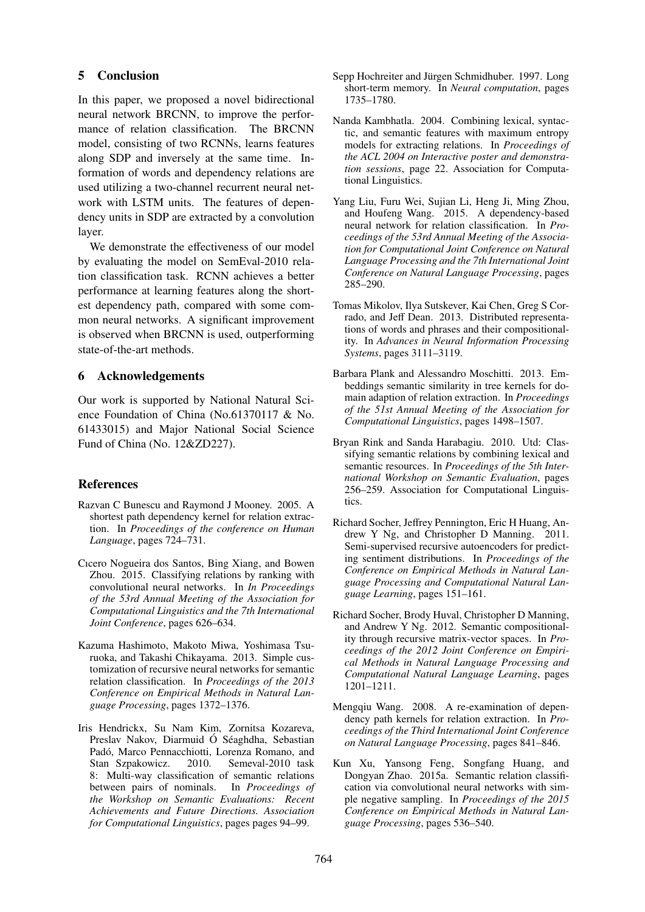# 5 Conclusion

In this paper, we proposed a novel bidirectional neural network BRCNN, to improve the performance of relation classification. The BRCNN model, consisting of two RCNNs, learns features along SDP and inversely at the same time. Information of words and dependency relations are used utilizing a two-channel recurrent neural network with LSTM units. The features of dependency units in SDP are extracted by a convolution layer.

We demonstrate the effectiveness of our model by evaluating the model on SemEval-2010 relation classification task. RCNN achieves a better performance at learning features along the shortest dependency path, compared with some common neural networks. A significant improvement is observed when BRCNN is used, outperforming state-of-the-art methods.

# 6 Acknowledgements

Our work is supported by National Natural Science Foundation of China (No.61370117 & No. 61433015) and Major National Social Science Fund of China (No. 12&ZD227).

# References

- Razvan C Bunescu and Raymond J Mooney. 2005. A shortest path dependency kernel for relation extraction. In *Proceedings of the conference on Human Language*, pages 724–731.
- Cıcero Nogueira dos Santos, Bing Xiang, and Bowen Zhou. 2015. Classifying relations by ranking with convolutional neural networks. In *In Proceedings of the 53rd Annual Meeting of the Association for Computational Linguistics and the 7th International Joint Conference*, pages 626–634.
- Kazuma Hashimoto, Makoto Miwa, Yoshimasa Tsuruoka, and Takashi Chikayama. 2013. Simple customization of recursive neural networks for semantic relation classification. In *Proceedings of the 2013 Conference on Empirical Methods in Natural Language Processing*, pages 1372–1376.
- Iris Hendrickx, Su Nam Kim, Zornitsa Kozareva, Preslav Nakov, Diarmuid Ó Séaghdha, Sebastian Padó, Marco Pennacchiotti, Lorenza Romano, and<br>Stan Szpakowicz. 2010. Semeval-2010 task Stan Szpakowicz. 2010. 8: Multi-way classification of semantic relations between pairs of nominals. In *Proceedings of the Workshop on Semantic Evaluations: Recent Achievements and Future Directions. Association for Computational Linguistics*, pages pages 94–99.
- Sepp Hochreiter and Jürgen Schmidhuber. 1997. Long short-term memory. In *Neural computation*, pages 1735–1780.
- Nanda Kambhatla. 2004. Combining lexical, syntactic, and semantic features with maximum entropy models for extracting relations. In *Proceedings of the ACL 2004 on Interactive poster and demonstration sessions*, page 22. Association for Computational Linguistics.
- Yang Liu, Furu Wei, Sujian Li, Heng Ji, Ming Zhou, and Houfeng Wang. 2015. A dependency-based neural network for relation classification. In *Proceedings of the 53rd Annual Meeting of the Association for Computational Joint Conference on Natural Language Processing and the 7th International Joint Conference on Natural Language Processing*, pages 285–290.
- Tomas Mikolov, Ilya Sutskever, Kai Chen, Greg S Corrado, and Jeff Dean. 2013. Distributed representations of words and phrases and their compositionality. In *Advances in Neural Information Processing Systems*, pages 3111–3119.
- Barbara Plank and Alessandro Moschitti. 2013. Embeddings semantic similarity in tree kernels for domain adaption of relation extraction. In *Proceedings of the 51st Annual Meeting of the Association for Computational Linguistics*, pages 1498–1507.
- Bryan Rink and Sanda Harabagiu. 2010. Utd: Classifying semantic relations by combining lexical and semantic resources. In *Proceedings of the 5th International Workshop on Semantic Evaluation*, pages 256–259. Association for Computational Linguistics.
- Richard Socher, Jeffrey Pennington, Eric H Huang, Andrew Y Ng, and Christopher D Manning. 2011. Semi-supervised recursive autoencoders for predicting sentiment distributions. In *Proceedings of the Conference on Empirical Methods in Natural Language Processing and Computational Natural Language Learning*, pages 151–161.
- Richard Socher, Brody Huval, Christopher D Manning, and Andrew Y Ng. 2012. Semantic compositionality through recursive matrix-vector spaces. In *Proceedings of the 2012 Joint Conference on Empirical Methods in Natural Language Processing and Computational Natural Language Learning*, pages 1201–1211.
- Mengqiu Wang. 2008. A re-examination of dependency path kernels for relation extraction. In *Proceedings of the Third International Joint Conference on Natural Language Processing*, pages 841–846.
- Kun Xu, Yansong Feng, Songfang Huang, and Dongyan Zhao. 2015a. Semantic relation classification via convolutional neural networks with simple negative sampling. In *Proceedings of the 2015 Conference on Empirical Methods in Natural Language Processing*, pages 536–540.